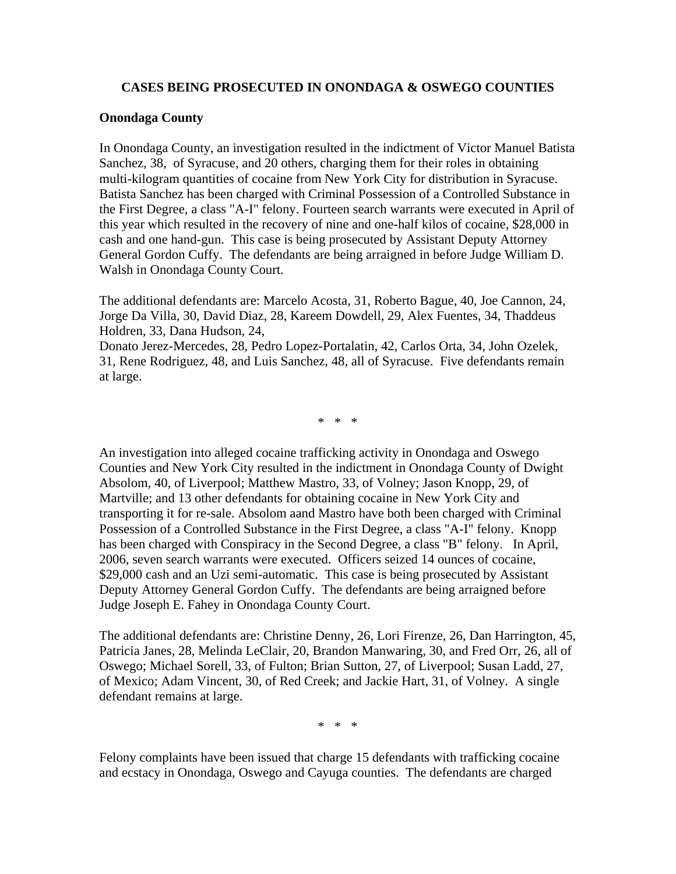## **CASES BEING PROSECUTED IN ONONDAGA & OSWEGO COUNTIES**

## **Onondaga County**

In Onondaga County, an investigation resulted in the indictment of Victor Manuel Batista Sanchez, 38, of Syracuse, and 20 others, charging them for their roles in obtaining multi-kilogram quantities of cocaine from New York City for distribution in Syracuse. Batista Sanchez has been charged with Criminal Possession of a Controlled Substance in the First Degree, a class "A-I" felony. Fourteen search warrants were executed in April of this year which resulted in the recovery of nine and one-half kilos of cocaine, \$28,000 in cash and one hand-gun. This case is being prosecuted by Assistant Deputy Attorney General Gordon Cuffy. The defendants are being arraigned in before Judge William D. Walsh in Onondaga County Court.

The additional defendants are: Marcelo Acosta, 31, Roberto Bague, 40, Joe Cannon, 24, Jorge Da Villa, 30, David Diaz, 28, Kareem Dowdell, 29, Alex Fuentes, 34, Thaddeus Holdren, 33, Dana Hudson, 24,

Donato Jerez-Mercedes, 28, Pedro Lopez-Portalatin, 42, Carlos Orta, 34, John Ozelek, 31, Rene Rodriguez, 48, and Luis Sanchez, 48, all of Syracuse. Five defendants remain at large.

\* \* \*

An investigation into alleged cocaine trafficking activity in Onondaga and Oswego Counties and New York City resulted in the indictment in Onondaga County of Dwight Absolom, 40, of Liverpool; Matthew Mastro, 33, of Volney; Jason Knopp, 29, of Martville; and 13 other defendants for obtaining cocaine in New York City and transporting it for re-sale. Absolom aand Mastro have both been charged with Criminal Possession of a Controlled Substance in the First Degree, a class "A-I" felony. Knopp has been charged with Conspiracy in the Second Degree, a class "B" felony. In April, 2006, seven search warrants were executed. Officers seized 14 ounces of cocaine, \$29,000 cash and an Uzi semi-automatic. This case is being prosecuted by Assistant Deputy Attorney General Gordon Cuffy. The defendants are being arraigned before Judge Joseph E. Fahey in Onondaga County Court.

The additional defendants are: Christine Denny, 26, Lori Firenze, 26, Dan Harrington, 45, Patricia Janes, 28, Melinda LeClair, 20, Brandon Manwaring, 30, and Fred Orr, 26, all of Oswego; Michael Sorell, 33, of Fulton; Brian Sutton, 27, of Liverpool; Susan Ladd, 27, of Mexico; Adam Vincent, 30, of Red Creek; and Jackie Hart, 31, of Volney. A single defendant remains at large.

\* \* \*

Felony complaints have been issued that charge 15 defendants with trafficking cocaine and ecstacy in Onondaga, Oswego and Cayuga counties. The defendants are charged